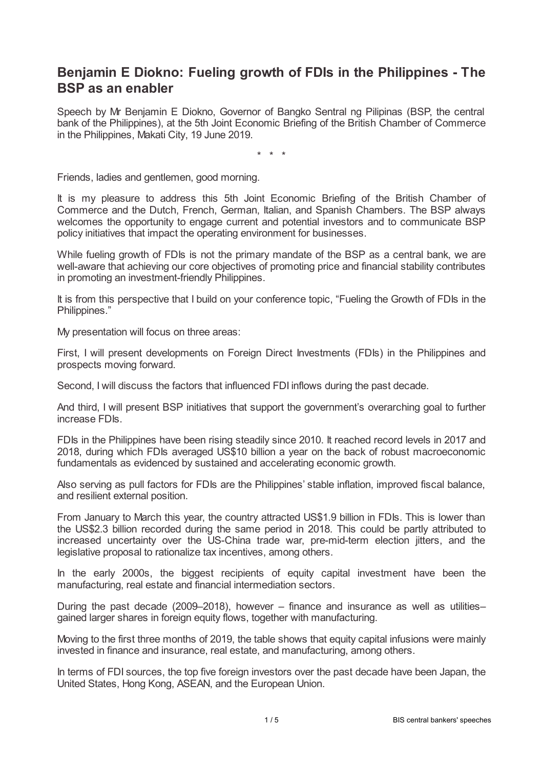# **Benjamin E Diokno: Fueling growth of FDIs in the Philippines - The BSP as an enabler**

Speech by Mr Benjamin E Diokno, Governor of Bangko Sentral ng Pilipinas (BSP, the central bank of the Philippines), at the 5th Joint Economic Briefing of the British Chamber of Commerce in the Philippines, Makati City, 19 June 2019.

\* \* \*

Friends, ladies and gentlemen, good morning.

It is my pleasure to address this 5th Joint Economic Briefing of the British Chamber of Commerce and the Dutch, French, German, Italian, and Spanish Chambers. The BSP always welcomes the opportunity to engage current and potential investors and to communicate BSP policy initiatives that impact the operating environment for businesses.

While fueling growth of FDIs is not the primary mandate of the BSP as a central bank, we are well-aware that achieving our core objectives of promoting price and financial stability contributes in promoting an investment-friendly Philippines.

It is from this perspective that I build on your conference topic, "Fueling the Growth of FDIs in the Philippines."

My presentation will focus on three areas:

First, I will present developments on Foreign Direct Investments (FDIs) in the Philippines and prospects moving forward.

Second, I will discuss the factors that influenced FDI inflows during the past decade.

And third, I will present BSP initiatives that support the government's overarching goal to further increase FDIs.

FDIs in the Philippines have been rising steadily since 2010. It reached record levels in 2017 and 2018, during which FDIs averaged US\$10 billion a year on the back of robust macroeconomic fundamentals as evidenced by sustained and accelerating economic growth.

Also serving as pull factors for FDIs are the Philippines' stable inflation, improved fiscal balance, and resilient external position.

From January to March this year, the country attracted US\$1.9 billion in FDIs. This is lower than the US\$2.3 billion recorded during the same period in 2018. This could be partly attributed to increased uncertainty over the US-China trade war, pre-mid-term election jitters, and the legislative proposal to rationalize tax incentives, among others.

In the early 2000s, the biggest recipients of equity capital investment have been the manufacturing, real estate and financial intermediation sectors.

During the past decade (2009–2018), however – finance and insurance as well as utilities– gained larger shares in foreign equity flows, together with manufacturing.

Moving to the first three months of 2019, the table shows that equity capital infusions were mainly invested in finance and insurance, real estate, and manufacturing, among others.

In terms of FDI sources, the top five foreign investors over the past decade have been Japan, the United States, Hong Kong, ASEAN, and the European Union.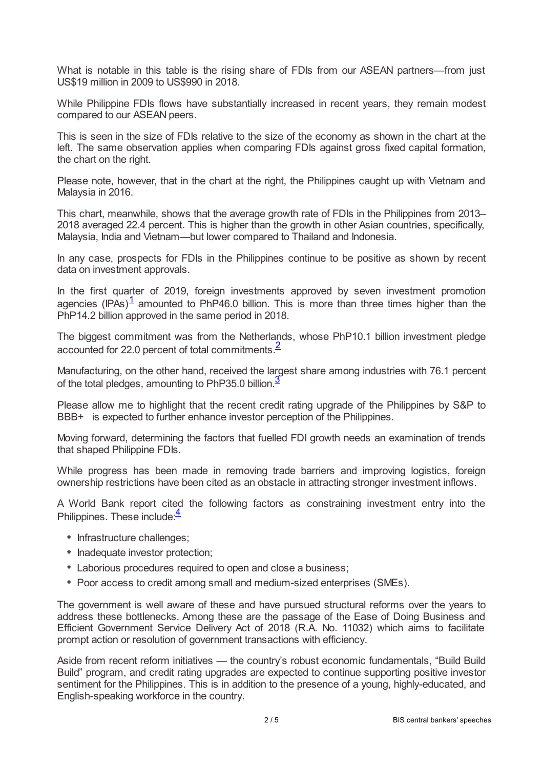What is notable in this table is the rising share of FDIs from our ASEAN partners—from just US\$19 million in 2009 to US\$990 in 2018.

While Philippine FDIs flows have substantially increased in recent years, they remain modest compared to our ASEAN peers.

This is seen in the size of FDIs relative to the size of the economy as shown in the chart at the left. The same observation applies when comparing FDIs against gross fixed capital formation, the chart on the right.

Please note, however, that in the chart at the right, the Philippines caught up with Vietnam and Malaysia in 2016.

This chart, meanwhile, shows that the average growth rate of FDIs in the Philippines from 2013– 2018 averaged 22.4 percent. This is higher than the growth in other Asian countries, specifically, Malaysia, India and Vietnam—but lower compared to Thailand and Indonesia.

In any case, prospects for FDIs in the Philippines continue to be positive as shown by recent data on investment approvals.

<span id="page-1-0"></span>In the first quarter of 2019, foreign investments approved by seven investment promotion agencies  $(\text{IPAs})^{\frac{1}{2}}$  $(\text{IPAs})^{\frac{1}{2}}$  $(\text{IPAs})^{\frac{1}{2}}$  amounted to PhP46.0 billion. This is more than three times higher than the PhP14.2 billion approved in the same period in 2018.

<span id="page-1-1"></span>The biggest commitment was from the Netherlands, whose PhP10.1 billion investment pledge accounted for 22.0 percent of total commitments. [2](#page-4-1)

<span id="page-1-2"></span>Manufacturing, on the other hand, received the largest share among industries with 76.1 percent of the total pledges, amounting to PhP[3](#page-4-2)5.0 billion.<sup>3</sup>

Please allow me to highlight that the recent credit rating upgrade of the Philippines by S&P to BBB+ is expected to further enhance investor perception of the Philippines.

Moving forward, determining the factors that fuelled FDI growth needs an examination of trends that shaped Philippine FDIs.

While progress has been made in removing trade barriers and improving logistics, foreign ownership restrictions have been cited as an obstacle in attracting stronger investment inflows.

A World Bank report cited the following factors as constraining investment entry into the Philippines. These include: [4](#page-4-3)

- <span id="page-1-3"></span>• Infrastructure challenges;
- Inadequate investor protection;
- Laborious procedures required to open and close a business;
- Poor access to credit among small and medium-sized enterprises (SMEs).

The government is well aware of these and have pursued structural reforms over the years to address these bottlenecks. Among these are the passage of the Ease of Doing Business and Efficient Government Service Delivery Act of 2018 (R.A. No. 11032) which aims to facilitate prompt action or resolution of government transactions with efficiency.

Aside from recent reform initiatives — the country's robust economic fundamentals, "Build Build Build" program, and credit rating upgrades are expected to continue supporting positive investor sentiment for the Philippines. This is in addition to the presence of a young, highly-educated, and English-speaking workforce in the country.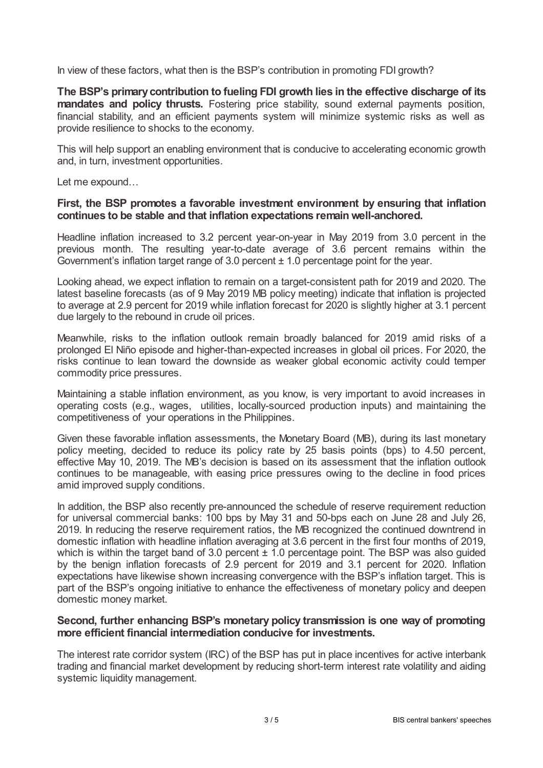In view of these factors, what then is the BSP's contribution in promoting FDI growth?

**The BSP's primarycontribution to fueling FDI growth lies in the effective discharge of its mandates and policy thrusts.** Fostering price stability, sound external payments position, financial stability, and an efficient payments system will minimize systemic risks as well as provide resilience to shocks to the economy.

This will help support an enabling environment that is conducive to accelerating economic growth and, in turn, investment opportunities.

Let me expound…

# **First, the BSP promotes a favorable investment environment by ensuring that inflation continues to be stable and that inflation expectations remain well-anchored.**

Headline inflation increased to 3.2 percent year-on-year in May 2019 from 3.0 percent in the previous month. The resulting year-to-date average of 3.6 percent remains within the Government's inflation target range of 3.0 percent  $\pm$  1.0 percentage point for the year.

Looking ahead, we expect inflation to remain on a target-consistent path for 2019 and 2020. The latest baseline forecasts (as of 9 May 2019 MB policy meeting) indicate that inflation is projected to average at 2.9 percent for 2019 while inflation forecast for 2020 is slightly higher at 3.1 percent due largely to the rebound in crude oil prices.

Meanwhile, risks to the inflation outlook remain broadly balanced for 2019 amid risks of a prolonged El Niño episode and higher-than-expected increases in global oil prices. For 2020, the risks continue to lean toward the downside as weaker global economic activity could temper commodity price pressures.

Maintaining a stable inflation environment, as you know, is very important to avoid increases in operating costs (e.g., wages, utilities, locally-sourced production inputs) and maintaining the competitiveness of your operations in the Philippines.

Given these favorable inflation assessments, the Monetary Board (MB), during its last monetary policy meeting, decided to reduce its policy rate by 25 basis points (bps) to 4.50 percent, effective May 10, 2019. The MB's decision is based on its assessment that the inflation outlook continues to be manageable, with easing price pressures owing to the decline in food prices amid improved supply conditions.

In addition, the BSP also recently pre-announced the schedule of reserve requirement reduction for universal commercial banks: 100 bps by May 31 and 50-bps each on June 28 and July 26, 2019. In reducing the reserve requirement ratios, the MB recognized the continued downtrend in domestic inflation with headline inflation averaging at 3.6 percent in the first four months of 2019, which is within the target band of 3.0 percent  $\pm$  1.0 percentage point. The BSP was also guided by the benign inflation forecasts of 2.9 percent for 2019 and 3.1 percent for 2020. Inflation expectations have likewise shown increasing convergence with the BSP's inflation target. This is part of the BSP's ongoing initiative to enhance the effectiveness of monetary policy and deepen domestic money market.

# **Second, further enhancing BSP's monetary policy transmission is one way of promoting more efficient financial intermediation conducive for investments.**

The interest rate corridor system (IRC) of the BSP has put in place incentives for active interbank trading and financial market development by reducing short-term interest rate volatility and aiding systemic liquidity management.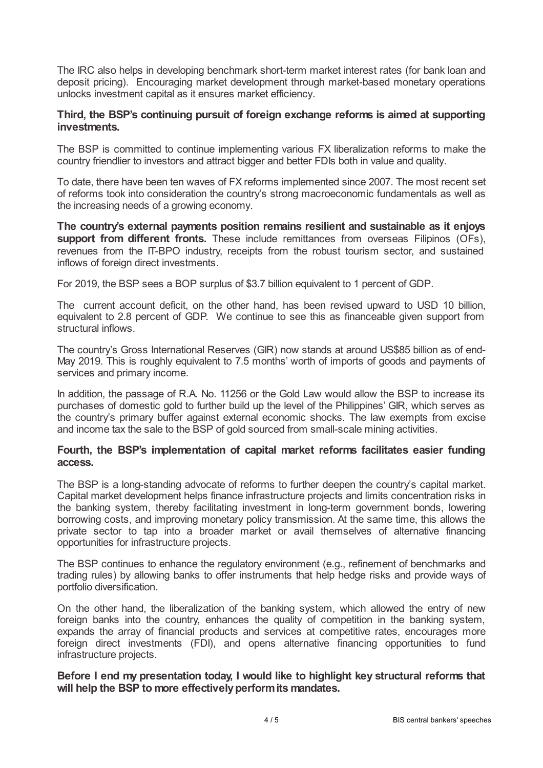The IRC also helps in developing benchmark short-term market interest rates (for bank loan and deposit pricing). Encouraging market development through market-based monetary operations unlocks investment capital as it ensures market efficiency.

# **Third, the BSP's continuing pursuit of foreign exchange reforms is aimed at supporting investments.**

The BSP is committed to continue implementing various FX liberalization reforms to make the country friendlier to investors and attract bigger and better FDIs both in value and quality.

To date, there have been ten waves of FX reforms implemented since 2007. The most recent set of reforms took into consideration the country's strong macroeconomic fundamentals as well as the increasing needs of a growing economy.

**The country's external payments position remains resilient and sustainable as it enjoys support from different fronts.** These include remittances from overseas Filipinos (OFs), revenues from the IT-BPO industry, receipts from the robust tourism sector, and sustained inflows of foreign direct investments.

For 2019, the BSP sees a BOP surplus of \$3.7 billion equivalent to 1 percent of GDP.

The current account deficit, on the other hand, has been revised upward to USD 10 billion, equivalent to 2.8 percent of GDP. We continue to see this as financeable given support from structural inflows.

The country's Gross International Reserves (GIR) now stands at around US\$85 billion as of end-May 2019. This is roughly equivalent to 7.5 months' worth of imports of goods and payments of services and primary income.

In addition, the passage of R.A. No. 11256 or the Gold Law would allow the BSP to increase its purchases of domestic gold to further build up the level of the Philippines' GIR, which serves as the country's primary buffer against external economic shocks. The law exempts from excise and income tax the sale to the BSP of gold sourced from small-scale mining activities.

# **Fourth, the BSP's implementation of capital market reforms facilitates easier funding access.**

The BSP is a long-standing advocate of reforms to further deepen the country's capital market. Capital market development helps finance infrastructure projects and limits concentration risks in the banking system, thereby facilitating investment in long-term government bonds, lowering borrowing costs, and improving monetary policy transmission. At the same time, this allows the private sector to tap into a broader market or avail themselves of alternative financing opportunities for infrastructure projects.

The BSP continues to enhance the regulatory environment (e.g., refinement of benchmarks and trading rules) by allowing banks to offer instruments that help hedge risks and provide ways of portfolio diversification.

On the other hand, the liberalization of the banking system, which allowed the entry of new foreign banks into the country, enhances the quality of competition in the banking system, expands the array of financial products and services at competitive rates, encourages more foreign direct investments (FDI), and opens alternative financing opportunities to fund infrastructure projects.

# **Before I end my presentation today, I would like to highlight key structural reforms that will help the BSP to more effectivelyperformits mandates.**